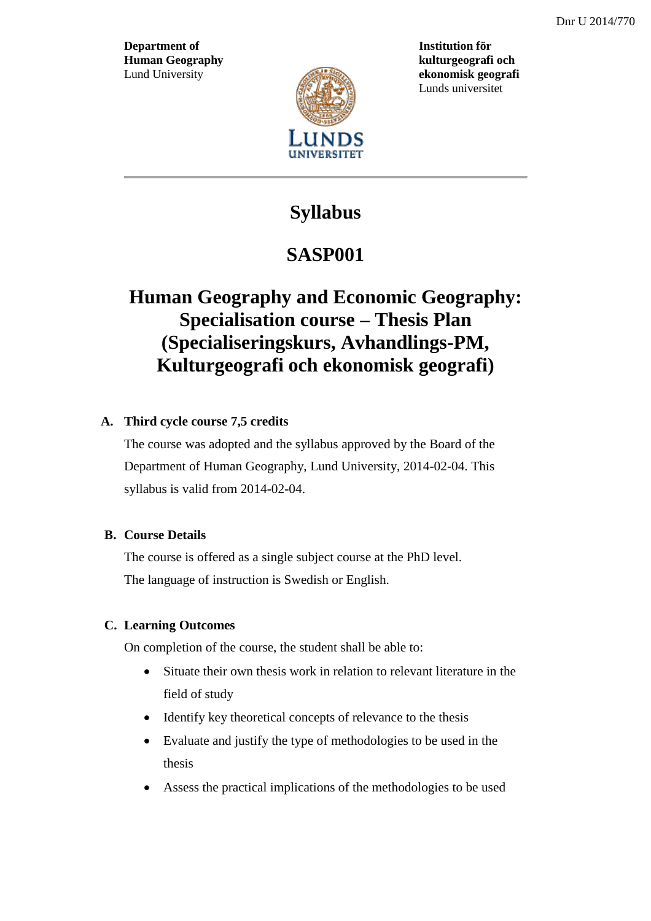**Department of Institution för Human Geography kulturgeografi och**



Lund University **ekonomisk geografi** Lunds universitet

# **Syllabus**

# **SASP001**

# **Human Geography and Economic Geography: Specialisation course – Thesis Plan (Specialiseringskurs, Avhandlings-PM, Kulturgeografi och ekonomisk geografi)**

## **A. Third cycle course 7,5 credits**

The course was adopted and the syllabus approved by the Board of the Department of Human Geography, Lund University, 2014-02-04. This syllabus is valid from 2014-02-04.

## **B. Course Details**

The course is offered as a single subject course at the PhD level. The language of instruction is Swedish or English.

## **C. Learning Outcomes**

On completion of the course, the student shall be able to:

- Situate their own thesis work in relation to relevant literature in the field of study
- Identify key theoretical concepts of relevance to the thesis
- Evaluate and justify the type of methodologies to be used in the thesis
- Assess the practical implications of the methodologies to be used